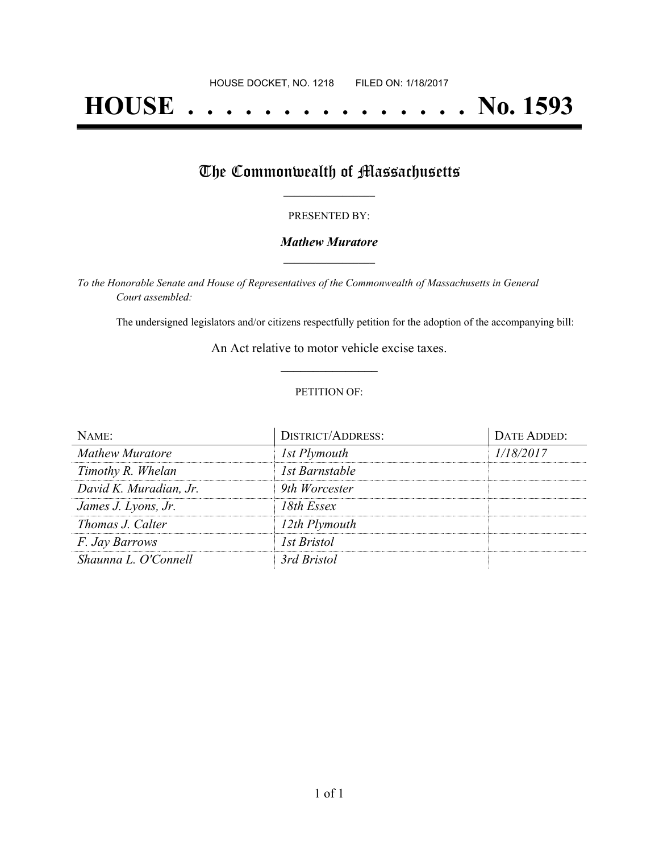# **HOUSE . . . . . . . . . . . . . . . No. 1593**

## The Commonwealth of Massachusetts

#### PRESENTED BY:

#### *Mathew Muratore* **\_\_\_\_\_\_\_\_\_\_\_\_\_\_\_\_\_**

*To the Honorable Senate and House of Representatives of the Commonwealth of Massachusetts in General Court assembled:*

The undersigned legislators and/or citizens respectfully petition for the adoption of the accompanying bill:

An Act relative to motor vehicle excise taxes. **\_\_\_\_\_\_\_\_\_\_\_\_\_\_\_**

#### PETITION OF:

| NAME:                  | <b>DISTRICT/ADDRESS:</b> | DATE ADDED: |
|------------------------|--------------------------|-------------|
| <b>Mathew Muratore</b> | 1st Plymouth             | 1/18/2017   |
| Timothy R. Whelan      | 1st Barnstable           |             |
| David K. Muradian, Jr. | 9th Worcester            |             |
| James J. Lyons, Jr.    | 18th Essex               |             |
| Thomas J. Calter       | 12th Plymouth            |             |
| <i>F. Jay Barrows</i>  | <i>Ist Bristol</i>       |             |
| Shaunna L. O'Connell   | 3rd Bristol              |             |